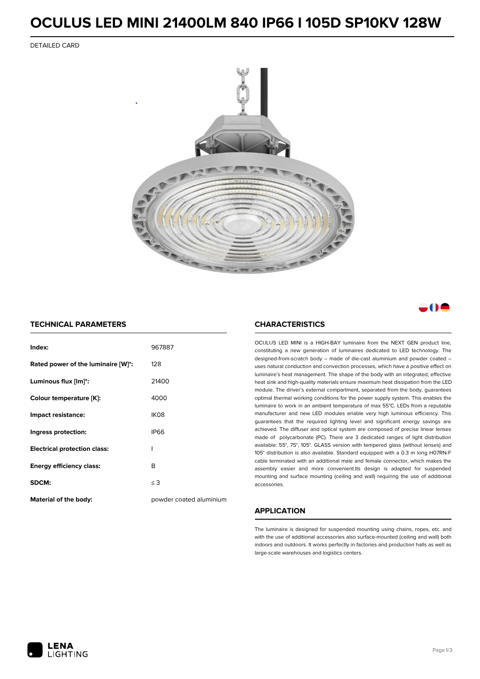### **OCULUS LED MINI 21400LM 840 IP66 I 105D SP10KV 128W**

DETAILED CARD



### . . . .

### **TECHNICAL PARAMETERS**

| Index:                              | 967887                  |
|-------------------------------------|-------------------------|
| Rated power of the luminaire [W]*:  | 128                     |
| Luminous flux [lm]*:                | 21400                   |
| Colour temperature [K]:             | 4000                    |
| Impact resistance:                  | IK <sub>08</sub>        |
| Ingress protection:                 | <b>IP66</b>             |
| <b>Electrical protection class:</b> | ı                       |
| <b>Energy efficiency class:</b>     | B                       |
| SDCM:                               | $\leq$ 3                |
| <b>Material of the body:</b>        | powder coated aluminium |

#### **CHARACTERISTICS**

OCULUS LED MINI is a HIGH-BAY luminaire from the NEXT GEN product line, constituting a new generation of luminaires dedicated to LED technology. The designed-from-scratch body – made of die-cast aluminium and powder coated – uses natural conduction and convection processes, which have a positive effect on luminaire's heat management. The shape of the body with an integrated, effective heat sink and high-quality materials ensure maximum heat dissipation from the LED module. The driver's external compartment, separated from the body, guarantees optimal thermal working conditions for the power supply system. This enables the luminaire to work in an ambient temperature of max 55°C. LEDs from a reputable manufacturer and new LED modules enable very high luminous efficiency. This guarantees that the required lighting level and significant energy savings are achieved. The diffuser and optical system are composed of precise linear lenses made of polycarbonate (PC). There are 3 dedicated ranges of light distribution available: 55°, 75°, 105°. GLASS version with tempered glass (without lenses) and 105° distribution is also available. Standard equipped with a 0.3 m long H07RN-F cable terminated with an additional male and female connector, which makes the assembly easier and more convenient.Its design is adapted for suspended mounting and surface mounting (ceiling and wall) requiring the use of additional accessories.

### **APPLICATION**

The luminaire is designed for suspended mounting using chains, ropes, etc. and with the use of additional accessories also surface-mounted (ceiling and wall) both indoors and outdoors. It works perfectly in factories and production halls as well as large-scale warehouses and logistics centers.

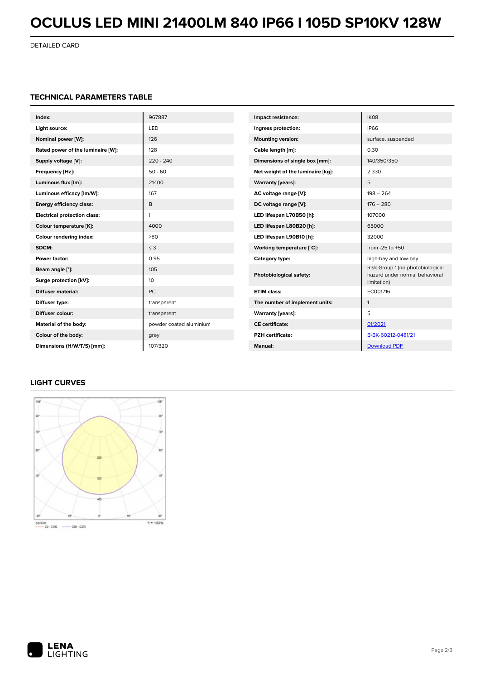# **OCULUS LED MINI 21400LM 840 IP66 I 105D SP10KV 128W**

DETAILED CARD

### **TECHNICAL PARAMETERS TABLE**

| Index:                              | 967887                  | Impact resistance:                                                       | IK08                             |
|-------------------------------------|-------------------------|--------------------------------------------------------------------------|----------------------------------|
| Light source:                       | LED                     | Ingress protection:                                                      | <b>IP66</b>                      |
| Nominal power [W]:                  | 126                     | <b>Mounting version:</b>                                                 | surface, suspended               |
| Rated power of the luminaire [W]:   | 128                     | Cable length [m]:                                                        | 0.30                             |
| Supply voltage [V]:                 | $220 - 240$             | Dimensions of single box [mm]:                                           | 140/350/350                      |
| Frequency [Hz]:                     | $50 - 60$               | Net weight of the luminaire [kg]:                                        | 2.330                            |
| Luminous flux [lm]:                 | 21400                   | <b>Warranty [years]:</b>                                                 | 5                                |
| Luminous efficacy [lm/W]:           | 167                     | AC voltage range [V]:                                                    | $198 - 264$                      |
| <b>Energy efficiency class:</b>     | B                       | DC voltage range [V]:                                                    | $176 - 280$                      |
| <b>Electrical protection class:</b> |                         | LED lifespan L70B50 [h]:                                                 | 107000                           |
| Colour temperature [K]:             | 4000                    | LED lifespan L80B20 [h]:                                                 | 65000                            |
| Colour rendering index:             | >80                     | LED lifespan L90B10 [h]:                                                 | 32000                            |
| SDCM:                               | $\leq$ 3                | Working temperature [°C]:                                                | from $-25$ to $+50$              |
| Power factor:                       | 0.95                    | Category type:                                                           | high-bay and low-bay             |
| Beam angle [°]:                     | 105                     | Photobiological safety:<br>hazard under normal behavioral<br>limitation) | Risk Group 1 (no photobiological |
| Surge protection [kV]:              | 10                      |                                                                          |                                  |
| <b>Diffuser material:</b>           | <b>PC</b>               | <b>ETIM class:</b>                                                       | EC001716                         |
| Diffuser type:                      | transparent             | The number of implement units:                                           | $\mathbf{1}$                     |
| Diffuser colour:                    | transparent             | Warranty [years]:                                                        | 5                                |
| Material of the body:               | powder coated aluminium | <b>CE</b> certificate:                                                   | 01/2021                          |
| Colour of the body:                 | grey                    | <b>PZH</b> certificate:                                                  | B-BK-60212-0481/21               |
| Dimensions (H/W/T/S) [mm]:          | 107/320                 | <b>Manual:</b>                                                           | <b>Download PDF</b>              |

### **LIGHT CURVES**